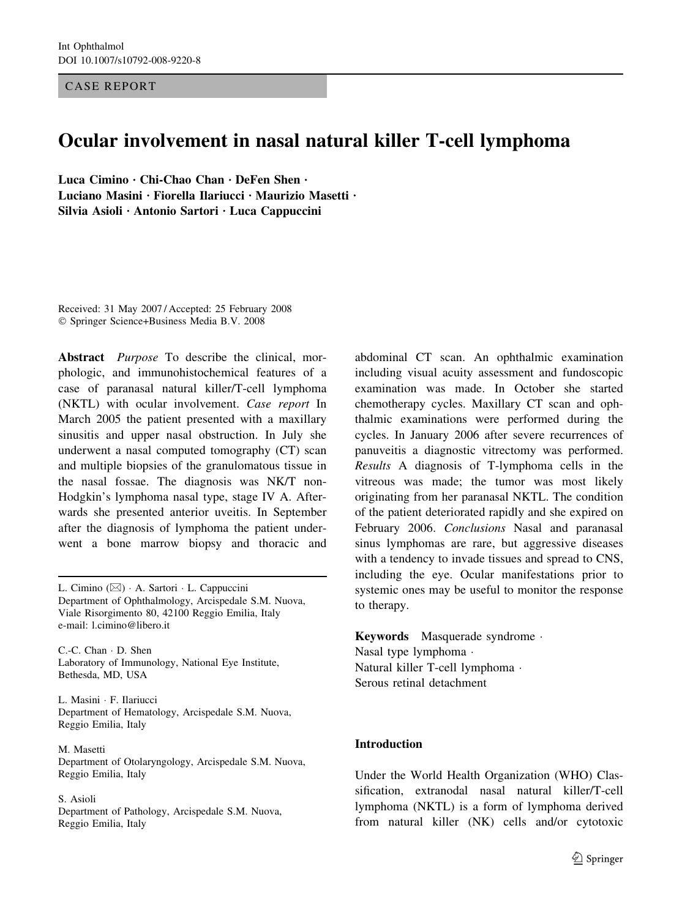CASE REPORT

# Ocular involvement in nasal natural killer T-cell lymphoma

Luca Cimino · Chi-Chao Chan · DeFen Shen · Luciano Masini · Fiorella Ilariucci · Maurizio Masetti · Silvia Asioli  $\cdot$  Antonio Sartori  $\cdot$  Luca Cappuccini

Received: 31 May 2007 / Accepted: 25 February 2008 Springer Science+Business Media B.V. 2008

Abstract *Purpose* To describe the clinical, morphologic, and immunohistochemical features of a case of paranasal natural killer/T-cell lymphoma (NKTL) with ocular involvement. Case report In March 2005 the patient presented with a maxillary sinusitis and upper nasal obstruction. In July she underwent a nasal computed tomography (CT) scan and multiple biopsies of the granulomatous tissue in the nasal fossae. The diagnosis was NK/T non-Hodgkin's lymphoma nasal type, stage IV A. Afterwards she presented anterior uveitis. In September after the diagnosis of lymphoma the patient underwent a bone marrow biopsy and thoracic and

L. Cimino (⊠) · A. Sartori · L. Cappuccini Department of Ophthalmology, Arcispedale S.M. Nuova, Viale Risorgimento 80, 42100 Reggio Emilia, Italy e-mail: l.cimino@libero.it

C.-C. Chan  $\cdot$  D. Shen Laboratory of Immunology, National Eye Institute, Bethesda, MD, USA

L. Masini · F. Ilariucci Department of Hematology, Arcispedale S.M. Nuova, Reggio Emilia, Italy

M. Masetti Department of Otolaryngology, Arcispedale S.M. Nuova, Reggio Emilia, Italy

#### S. Asioli

Department of Pathology, Arcispedale S.M. Nuova, Reggio Emilia, Italy

abdominal CT scan. An ophthalmic examination including visual acuity assessment and fundoscopic examination was made. In October she started chemotherapy cycles. Maxillary CT scan and ophthalmic examinations were performed during the cycles. In January 2006 after severe recurrences of panuveitis a diagnostic vitrectomy was performed. Results A diagnosis of T-lymphoma cells in the vitreous was made; the tumor was most likely originating from her paranasal NKTL. The condition of the patient deteriorated rapidly and she expired on February 2006. Conclusions Nasal and paranasal sinus lymphomas are rare, but aggressive diseases with a tendency to invade tissues and spread to CNS, including the eye. Ocular manifestations prior to systemic ones may be useful to monitor the response to therapy.

Keywords Masquerade syndrome · Nasal type lymphoma Natural killer T-cell lymphoma Serous retinal detachment

### Introduction

Under the World Health Organization (WHO) Classification, extranodal nasal natural killer/T-cell lymphoma (NKTL) is a form of lymphoma derived from natural killer (NK) cells and/or cytotoxic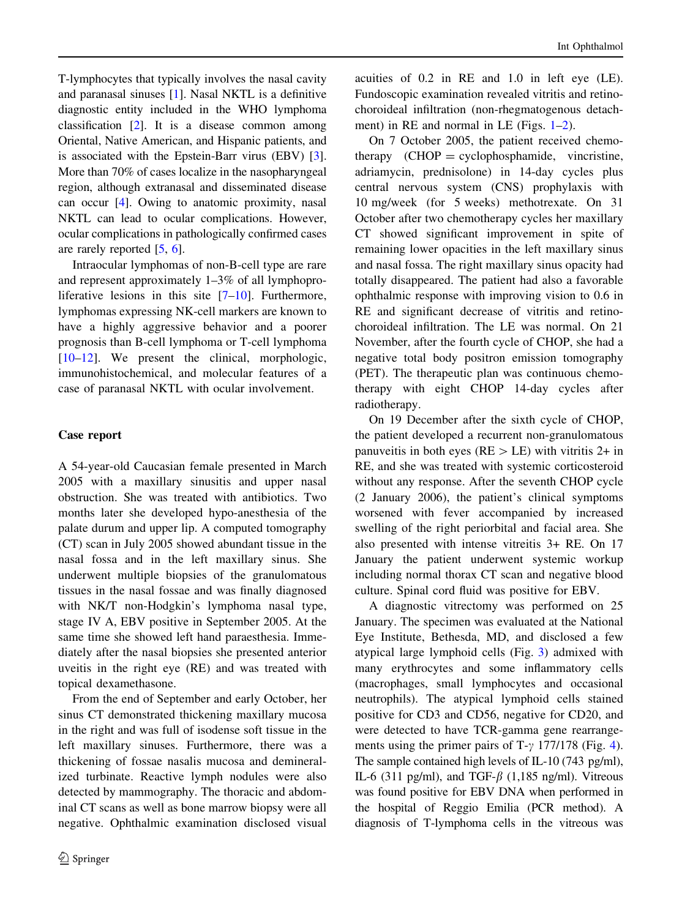T-lymphocytes that typically involves the nasal cavity and paranasal sinuses [\[1\]](#page-4-0). Nasal NKTL is a definitive diagnostic entity included in the WHO lymphoma classification [\[2](#page-4-0)]. It is a disease common among Oriental, Native American, and Hispanic patients, and is associated with the Epstein-Barr virus (EBV) [[3](#page-4-0)]. More than 70% of cases localize in the nasopharyngeal region, although extranasal and disseminated disease can occur [\[4](#page-4-0)]. Owing to anatomic proximity, nasal NKTL can lead to ocular complications. However, ocular complications in pathologically confirmed cases are rarely reported [\[5](#page-4-0), [6\]](#page-4-0).

Intraocular lymphomas of non-B-cell type are rare and represent approximately 1–3% of all lymphoproliferative lesions in this site  $[7-10]$ . Furthermore, lymphomas expressing NK-cell markers are known to have a highly aggressive behavior and a poorer prognosis than B-cell lymphoma or T-cell lymphoma [\[10–12](#page-4-0)]. We present the clinical, morphologic, immunohistochemical, and molecular features of a case of paranasal NKTL with ocular involvement.

### Case report

A 54-year-old Caucasian female presented in March 2005 with a maxillary sinusitis and upper nasal obstruction. She was treated with antibiotics. Two months later she developed hypo-anesthesia of the palate durum and upper lip. A computed tomography (CT) scan in July 2005 showed abundant tissue in the nasal fossa and in the left maxillary sinus. She underwent multiple biopsies of the granulomatous tissues in the nasal fossae and was finally diagnosed with NK/T non-Hodgkin's lymphoma nasal type, stage IV A, EBV positive in September 2005. At the same time she showed left hand paraesthesia. Immediately after the nasal biopsies she presented anterior uveitis in the right eye (RE) and was treated with topical dexamethasone.

From the end of September and early October, her sinus CT demonstrated thickening maxillary mucosa in the right and was full of isodense soft tissue in the left maxillary sinuses. Furthermore, there was a thickening of fossae nasalis mucosa and demineralized turbinate. Reactive lymph nodules were also detected by mammography. The thoracic and abdominal CT scans as well as bone marrow biopsy were all negative. Ophthalmic examination disclosed visual

acuities of 0.2 in RE and 1.0 in left eye (LE). Fundoscopic examination revealed vitritis and retinochoroideal infiltration (non-rhegmatogenous detachment) in RE and normal in LE (Figs.  $1-2$ ).

On 7 October 2005, the patient received chemotherapy (CHOP = cyclophosphamide, vincristine, adriamycin, prednisolone) in 14-day cycles plus central nervous system (CNS) prophylaxis with 10 mg/week (for 5 weeks) methotrexate. On 31 October after two chemotherapy cycles her maxillary CT showed significant improvement in spite of remaining lower opacities in the left maxillary sinus and nasal fossa. The right maxillary sinus opacity had totally disappeared. The patient had also a favorable ophthalmic response with improving vision to 0.6 in RE and significant decrease of vitritis and retinochoroideal infiltration. The LE was normal. On 21 November, after the fourth cycle of CHOP, she had a negative total body positron emission tomography (PET). The therapeutic plan was continuous chemotherapy with eight CHOP 14-day cycles after radiotherapy.

On 19 December after the sixth cycle of CHOP, the patient developed a recurrent non-granulomatous panuveitis in both eyes ( $RE > LE$ ) with vitritis 2+ in RE, and she was treated with systemic corticosteroid without any response. After the seventh CHOP cycle (2 January 2006), the patient's clinical symptoms worsened with fever accompanied by increased swelling of the right periorbital and facial area. She also presented with intense vitreitis 3+ RE. On 17 January the patient underwent systemic workup including normal thorax CT scan and negative blood culture. Spinal cord fluid was positive for EBV.

A diagnostic vitrectomy was performed on 25 January. The specimen was evaluated at the National Eye Institute, Bethesda, MD, and disclosed a few atypical large lymphoid cells (Fig. [3\)](#page-3-0) admixed with many erythrocytes and some inflammatory cells (macrophages, small lymphocytes and occasional neutrophils). The atypical lymphoid cells stained positive for CD3 and CD56, negative for CD20, and were detected to have TCR-gamma gene rearrangements using the primer pairs of T- $\gamma$  177/178 (Fig. [4](#page-3-0)). The sample contained high levels of IL-10 (743 pg/ml), IL-6 (311 pg/ml), and TGF- $\beta$  (1,185 ng/ml). Vitreous was found positive for EBV DNA when performed in the hospital of Reggio Emilia (PCR method). A diagnosis of T-lymphoma cells in the vitreous was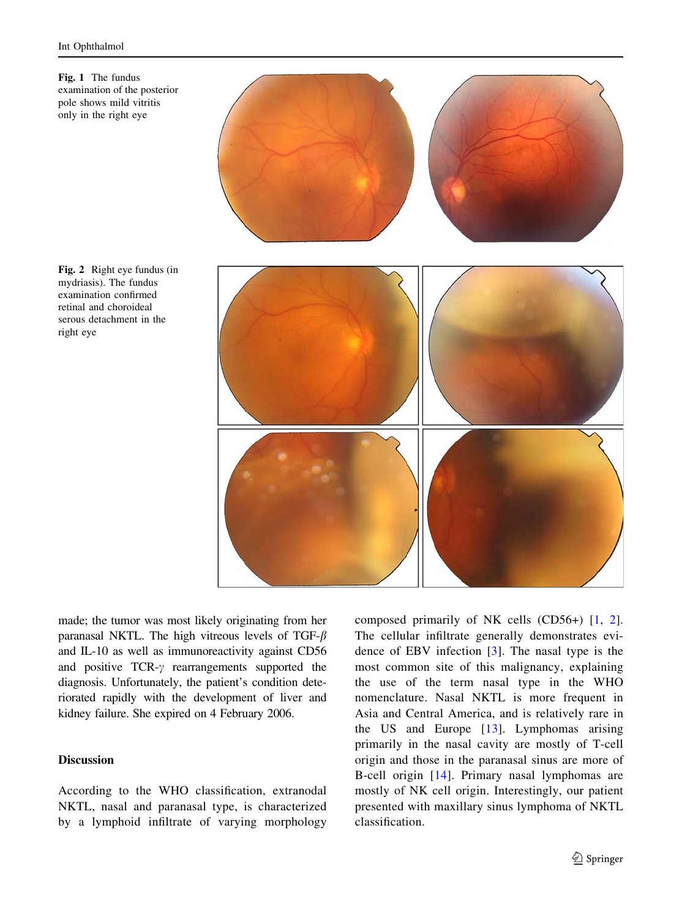<span id="page-2-0"></span>



Fig. 2 Right eye fundus (in mydriasis). The fundus examination confirmed retinal and choroideal serous detachment in the right eye

made; the tumor was most likely originating from her paranasal NKTL. The high vitreous levels of TGF- $\beta$ and IL-10 as well as immunoreactivity against CD56 and positive  $TCR-\gamma$  rearrangements supported the diagnosis. Unfortunately, the patient's condition deteriorated rapidly with the development of liver and kidney failure. She expired on 4 February 2006.

## Discussion

According to the WHO classification, extranodal NKTL, nasal and paranasal type, is characterized by a lymphoid infiltrate of varying morphology composed primarily of NK cells (CD56+) [[1,](#page-4-0) [2](#page-4-0)]. The cellular infiltrate generally demonstrates evidence of EBV infection [\[3](#page-4-0)]. The nasal type is the most common site of this malignancy, explaining the use of the term nasal type in the WHO nomenclature. Nasal NKTL is more frequent in Asia and Central America, and is relatively rare in the US and Europe [[13\]](#page-4-0). Lymphomas arising primarily in the nasal cavity are mostly of T-cell origin and those in the paranasal sinus are more of B-cell origin [[14\]](#page-4-0). Primary nasal lymphomas are mostly of NK cell origin. Interestingly, our patient presented with maxillary sinus lymphoma of NKTL classification.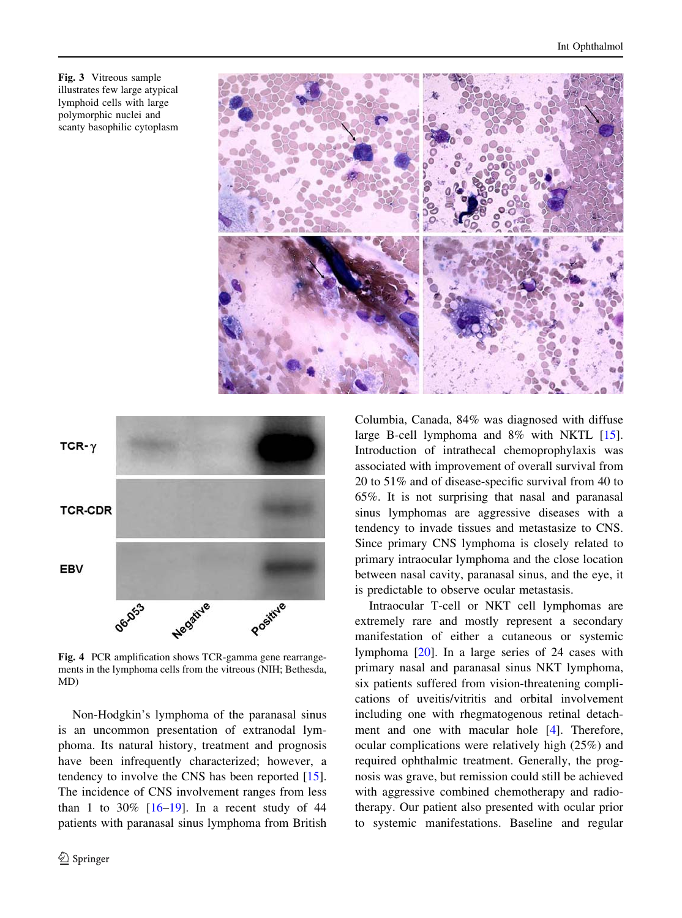<span id="page-3-0"></span>Fig. 3 Vitreous sample illustrates few large atypical lymphoid cells with large polymorphic nuclei and scanty basophilic cytoplasm





Fig. 4 PCR amplification shows TCR-gamma gene rearrangements in the lymphoma cells from the vitreous (NIH; Bethesda, MD)

Non-Hodgkin's lymphoma of the paranasal sinus is an uncommon presentation of extranodal lymphoma. Its natural history, treatment and prognosis have been infrequently characterized; however, a tendency to involve the CNS has been reported [\[15](#page-4-0)]. The incidence of CNS involvement ranges from less than 1 to 30%  $[16-19]$ . In a recent study of 44 patients with paranasal sinus lymphoma from British Columbia, Canada, 84% was diagnosed with diffuse large B-cell lymphoma and 8% with NKTL [\[15](#page-4-0)]. Introduction of intrathecal chemoprophylaxis was associated with improvement of overall survival from 20 to 51% and of disease-specific survival from 40 to 65%. It is not surprising that nasal and paranasal sinus lymphomas are aggressive diseases with a tendency to invade tissues and metastasize to CNS. Since primary CNS lymphoma is closely related to primary intraocular lymphoma and the close location between nasal cavity, paranasal sinus, and the eye, it is predictable to observe ocular metastasis.

Intraocular T-cell or NKT cell lymphomas are extremely rare and mostly represent a secondary manifestation of either a cutaneous or systemic lymphoma [[20\]](#page-4-0). In a large series of 24 cases with primary nasal and paranasal sinus NKT lymphoma, six patients suffered from vision-threatening complications of uveitis/vitritis and orbital involvement including one with rhegmatogenous retinal detachment and one with macular hole [\[4](#page-4-0)]. Therefore, ocular complications were relatively high (25%) and required ophthalmic treatment. Generally, the prognosis was grave, but remission could still be achieved with aggressive combined chemotherapy and radiotherapy. Our patient also presented with ocular prior to systemic manifestations. Baseline and regular